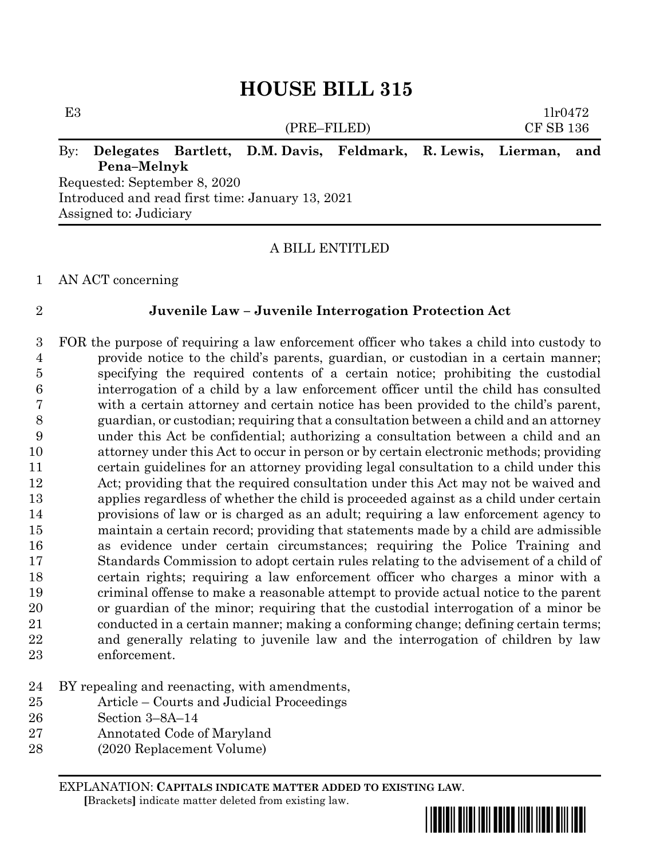# **HOUSE BILL 315**

# E3  $1\text{lr}0472$ (PRE–FILED) CF SB 136 By: **Delegates Bartlett, D.M. Davis, Feldmark, R. Lewis, Lierman, and Pena–Melnyk** Requested: September 8, 2020 Introduced and read first time: January 13, 2021

Assigned to: Judiciary

### A BILL ENTITLED

AN ACT concerning

### **Juvenile Law – Juvenile Interrogation Protection Act**

- FOR the purpose of requiring a law enforcement officer who takes a child into custody to provide notice to the child's parents, guardian, or custodian in a certain manner; specifying the required contents of a certain notice; prohibiting the custodial interrogation of a child by a law enforcement officer until the child has consulted with a certain attorney and certain notice has been provided to the child's parent, guardian, or custodian; requiring that a consultation between a child and an attorney under this Act be confidential; authorizing a consultation between a child and an attorney under this Act to occur in person or by certain electronic methods; providing certain guidelines for an attorney providing legal consultation to a child under this Act; providing that the required consultation under this Act may not be waived and applies regardless of whether the child is proceeded against as a child under certain provisions of law or is charged as an adult; requiring a law enforcement agency to maintain a certain record; providing that statements made by a child are admissible as evidence under certain circumstances; requiring the Police Training and Standards Commission to adopt certain rules relating to the advisement of a child of certain rights; requiring a law enforcement officer who charges a minor with a criminal offense to make a reasonable attempt to provide actual notice to the parent or guardian of the minor; requiring that the custodial interrogation of a minor be conducted in a certain manner; making a conforming change; defining certain terms; and generally relating to juvenile law and the interrogation of children by law enforcement.
- BY repealing and reenacting, with amendments,
- Article Courts and Judicial Proceedings
- Section 3–8A–14
- Annotated Code of Maryland
- (2020 Replacement Volume)

EXPLANATION: **CAPITALS INDICATE MATTER ADDED TO EXISTING LAW**.  **[**Brackets**]** indicate matter deleted from existing law.

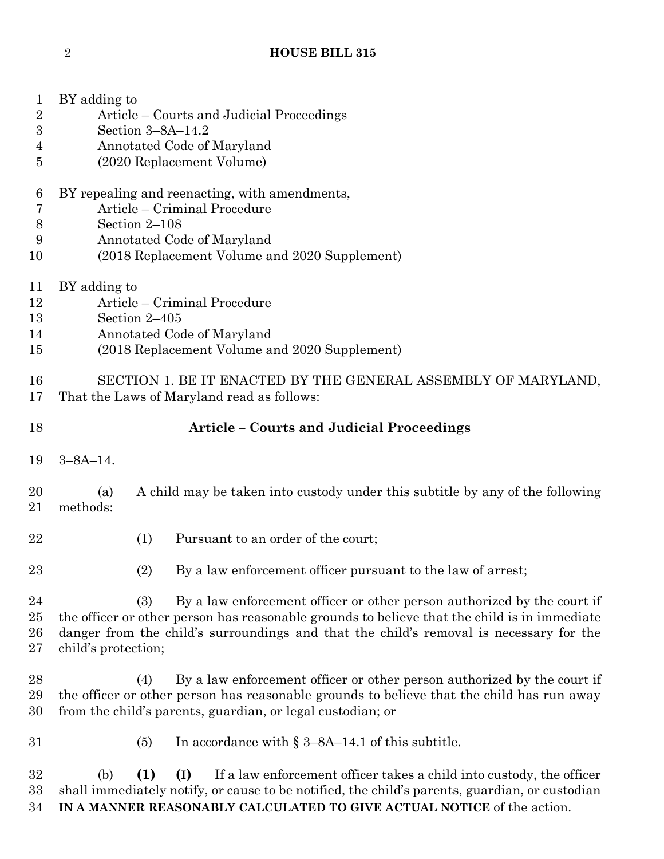| $\mathbf{1}$<br>$\sqrt{2}$ | BY adding to<br>Article – Courts and Judicial Proceedings                                                                                                                                                                                                                                       |     |                     |                                                                                                                                                                                                                                    |  |  |  |  |  |
|----------------------------|-------------------------------------------------------------------------------------------------------------------------------------------------------------------------------------------------------------------------------------------------------------------------------------------------|-----|---------------------|------------------------------------------------------------------------------------------------------------------------------------------------------------------------------------------------------------------------------------|--|--|--|--|--|
| 3                          |                                                                                                                                                                                                                                                                                                 |     | Section $3-8A-14.2$ |                                                                                                                                                                                                                                    |  |  |  |  |  |
| $\overline{4}$             |                                                                                                                                                                                                                                                                                                 |     |                     | Annotated Code of Maryland                                                                                                                                                                                                         |  |  |  |  |  |
| 5                          | (2020 Replacement Volume)                                                                                                                                                                                                                                                                       |     |                     |                                                                                                                                                                                                                                    |  |  |  |  |  |
| 6                          | BY repealing and reenacting, with amendments,                                                                                                                                                                                                                                                   |     |                     |                                                                                                                                                                                                                                    |  |  |  |  |  |
| 7                          | Article – Criminal Procedure                                                                                                                                                                                                                                                                    |     |                     |                                                                                                                                                                                                                                    |  |  |  |  |  |
| $8\,$                      | Section 2-108                                                                                                                                                                                                                                                                                   |     |                     |                                                                                                                                                                                                                                    |  |  |  |  |  |
| 9                          | Annotated Code of Maryland                                                                                                                                                                                                                                                                      |     |                     |                                                                                                                                                                                                                                    |  |  |  |  |  |
| 10                         | (2018 Replacement Volume and 2020 Supplement)                                                                                                                                                                                                                                                   |     |                     |                                                                                                                                                                                                                                    |  |  |  |  |  |
| 11                         | BY adding to                                                                                                                                                                                                                                                                                    |     |                     |                                                                                                                                                                                                                                    |  |  |  |  |  |
| 12                         | Article – Criminal Procedure                                                                                                                                                                                                                                                                    |     |                     |                                                                                                                                                                                                                                    |  |  |  |  |  |
| 13<br>14                   | Section 2-405                                                                                                                                                                                                                                                                                   |     |                     |                                                                                                                                                                                                                                    |  |  |  |  |  |
| 15                         | Annotated Code of Maryland<br>(2018 Replacement Volume and 2020 Supplement)                                                                                                                                                                                                                     |     |                     |                                                                                                                                                                                                                                    |  |  |  |  |  |
|                            |                                                                                                                                                                                                                                                                                                 |     |                     |                                                                                                                                                                                                                                    |  |  |  |  |  |
| 16                         | SECTION 1. BE IT ENACTED BY THE GENERAL ASSEMBLY OF MARYLAND,                                                                                                                                                                                                                                   |     |                     |                                                                                                                                                                                                                                    |  |  |  |  |  |
| 17                         |                                                                                                                                                                                                                                                                                                 |     |                     | That the Laws of Maryland read as follows:                                                                                                                                                                                         |  |  |  |  |  |
| 18                         | <b>Article - Courts and Judicial Proceedings</b>                                                                                                                                                                                                                                                |     |                     |                                                                                                                                                                                                                                    |  |  |  |  |  |
|                            |                                                                                                                                                                                                                                                                                                 |     |                     |                                                                                                                                                                                                                                    |  |  |  |  |  |
| 19                         | $3 - 8A - 14$ .                                                                                                                                                                                                                                                                                 |     |                     |                                                                                                                                                                                                                                    |  |  |  |  |  |
| 20<br>21                   | A child may be taken into custody under this subtitle by any of the following<br>(a)<br>methods:                                                                                                                                                                                                |     |                     |                                                                                                                                                                                                                                    |  |  |  |  |  |
| 22                         |                                                                                                                                                                                                                                                                                                 | (1) |                     | Pursuant to an order of the court;                                                                                                                                                                                                 |  |  |  |  |  |
| 23                         |                                                                                                                                                                                                                                                                                                 | (2) |                     | By a law enforcement officer pursuant to the law of arrest;                                                                                                                                                                        |  |  |  |  |  |
| 24<br>25<br>26<br>27       | By a law enforcement officer or other person authorized by the court if<br>(3)<br>the officer or other person has reasonable grounds to believe that the child is in immediate<br>danger from the child's surroundings and that the child's removal is necessary for the<br>child's protection; |     |                     |                                                                                                                                                                                                                                    |  |  |  |  |  |
| 28<br>29<br>30             |                                                                                                                                                                                                                                                                                                 | (4) |                     | By a law enforcement officer or other person authorized by the court if<br>the officer or other person has reasonable grounds to believe that the child has run away<br>from the child's parents, guardian, or legal custodian; or |  |  |  |  |  |
| 31                         |                                                                                                                                                                                                                                                                                                 | (5) |                     | In accordance with $\S 3$ –8A–14.1 of this subtitle.                                                                                                                                                                               |  |  |  |  |  |
| 32                         | (b)                                                                                                                                                                                                                                                                                             | (1) | (I)                 | If a law enforcement officer takes a child into custody, the officer                                                                                                                                                               |  |  |  |  |  |

 shall immediately notify, or cause to be notified, the child's parents, guardian, or custodian **IN A MANNER REASONABLY CALCULATED TO GIVE ACTUAL NOTICE** of the action.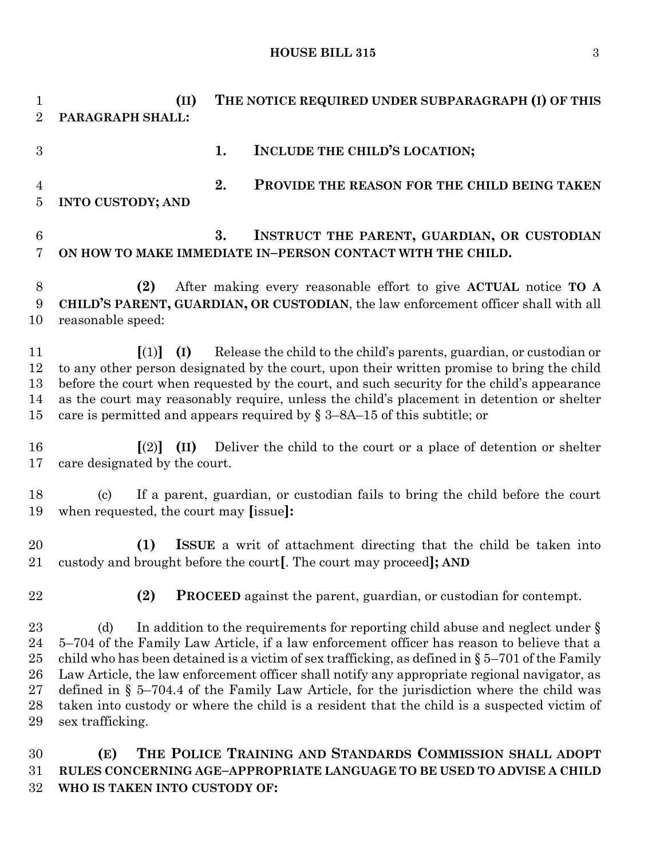**HOUSE BILL 315** 3

 **(II) THE NOTICE REQUIRED UNDER SUBPARAGRAPH (I) OF THIS PARAGRAPH SHALL: 1. INCLUDE THE CHILD'S LOCATION; 2. PROVIDE THE REASON FOR THE CHILD BEING TAKEN INTO CUSTODY; AND 3. INSTRUCT THE PARENT, GUARDIAN, OR CUSTODIAN ON HOW TO MAKE IMMEDIATE IN–PERSON CONTACT WITH THE CHILD. (2)** After making every reasonable effort to give **ACTUAL** notice **TO A CHILD'S PARENT, GUARDIAN, OR CUSTODIAN**, the law enforcement officer shall with all reasonable speed: **[**(1)**] (I)** Release the child to the child's parents, guardian, or custodian or to any other person designated by the court, upon their written promise to bring the child before the court when requested by the court, and such security for the child's appearance as the court may reasonably require, unless the child's placement in detention or shelter 15 care is permitted and appears required by  $\S 3-8A-15$  of this subtitle; or **[**(2)**] (II)** Deliver the child to the court or a place of detention or shelter care designated by the court. (c) If a parent, guardian, or custodian fails to bring the child before the court when requested, the court may **[**issue**]: (1) ISSUE** a writ of attachment directing that the child be taken into custody and brought before the court**[**. The court may proceed**]; AND (2) PROCEED** against the parent, guardian, or custodian for contempt. 23 (d) In addition to the requirements for reporting child abuse and neglect under § 5–704 of the Family Law Article, if a law enforcement officer has reason to believe that a 25 child who has been detained is a victim of sex trafficking, as defined in  $\S 5-701$  of the Family Law Article, the law enforcement officer shall notify any appropriate regional navigator, as defined in § 5–704.4 of the Family Law Article, for the jurisdiction where the child was taken into custody or where the child is a resident that the child is a suspected victim of sex trafficking. **(E) THE POLICE TRAINING AND STANDARDS COMMISSION SHALL ADOPT** 

 **RULES CONCERNING AGE–APPROPRIATE LANGUAGE TO BE USED TO ADVISE A CHILD WHO IS TAKEN INTO CUSTODY OF:**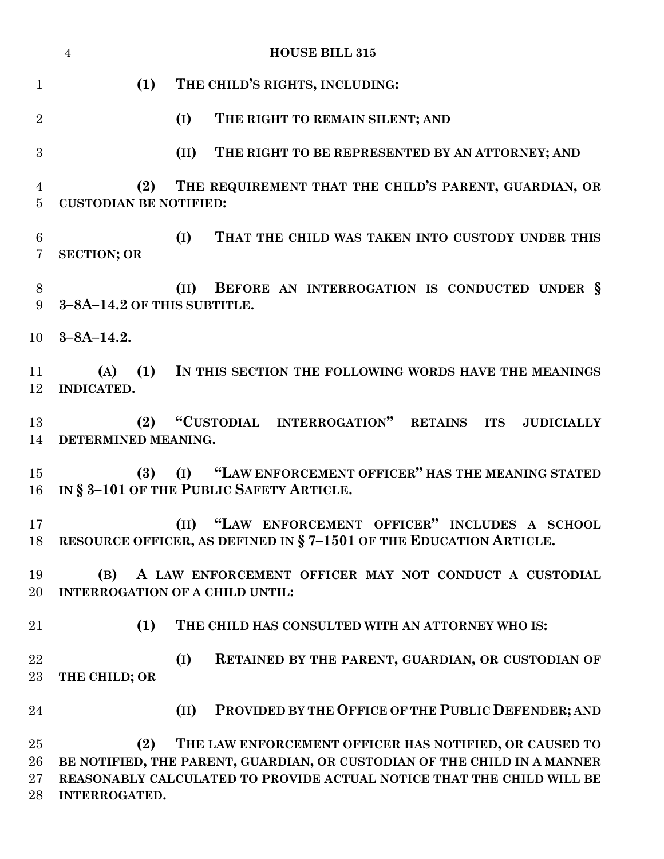|                      | $\overline{4}$                                                                                | <b>HOUSE BILL 315</b>                                                                                                                                                                                       |  |  |  |  |  |
|----------------------|-----------------------------------------------------------------------------------------------|-------------------------------------------------------------------------------------------------------------------------------------------------------------------------------------------------------------|--|--|--|--|--|
| $\mathbf{1}$         | (1)                                                                                           | THE CHILD'S RIGHTS, INCLUDING:                                                                                                                                                                              |  |  |  |  |  |
| $\overline{2}$       |                                                                                               | (I)<br>THE RIGHT TO REMAIN SILENT; AND                                                                                                                                                                      |  |  |  |  |  |
| 3                    |                                                                                               | (II)<br>THE RIGHT TO BE REPRESENTED BY AN ATTORNEY; AND                                                                                                                                                     |  |  |  |  |  |
| 4<br>$\overline{5}$  | THE REQUIREMENT THAT THE CHILD'S PARENT, GUARDIAN, OR<br>(2)<br><b>CUSTODIAN BE NOTIFIED:</b> |                                                                                                                                                                                                             |  |  |  |  |  |
| $6\phantom{.}6$<br>7 | <b>SECTION; OR</b>                                                                            | THAT THE CHILD WAS TAKEN INTO CUSTODY UNDER THIS<br>(I)                                                                                                                                                     |  |  |  |  |  |
| 8<br>9               | 3-8A-14.2 OF THIS SUBTITLE.                                                                   | BEFORE AN INTERROGATION IS CONDUCTED UNDER §<br>(II)                                                                                                                                                        |  |  |  |  |  |
| 10                   | $3 - 8A - 14.2.$                                                                              |                                                                                                                                                                                                             |  |  |  |  |  |
| 11<br>12             | INDICATED.                                                                                    | (A) (1) IN THIS SECTION THE FOLLOWING WORDS HAVE THE MEANINGS                                                                                                                                               |  |  |  |  |  |
| 13<br>14             | (2)<br>DETERMINED MEANING.                                                                    | "CUSTODIAL INTERROGATION" RETAINS ITS<br><b>JUDICIALLY</b>                                                                                                                                                  |  |  |  |  |  |
| 15<br>$16\,$         | (3)                                                                                           | (I) "LAW ENFORCEMENT OFFICER" HAS THE MEANING STATED<br>IN § 3-101 OF THE PUBLIC SAFETY ARTICLE.                                                                                                            |  |  |  |  |  |
| 17<br>18             |                                                                                               | (II) "LAW ENFORCEMENT OFFICER" INCLUDES A SCHOOL<br>RESOURCE OFFICER, AS DEFINED IN §7-1501 OF THE EDUCATION ARTICLE.                                                                                       |  |  |  |  |  |
| 19<br>20             | (B)                                                                                           | A LAW ENFORCEMENT OFFICER MAY NOT CONDUCT A CUSTODIAL<br><b>INTERROGATION OF A CHILD UNTIL:</b>                                                                                                             |  |  |  |  |  |
| 21                   | (1)                                                                                           | THE CHILD HAS CONSULTED WITH AN ATTORNEY WHO IS:                                                                                                                                                            |  |  |  |  |  |
| 22<br>23             | THE CHILD; OR                                                                                 | (I)<br>RETAINED BY THE PARENT, GUARDIAN, OR CUSTODIAN OF                                                                                                                                                    |  |  |  |  |  |
| 24                   |                                                                                               | PROVIDED BY THE OFFICE OF THE PUBLIC DEFENDER; AND<br>(II)                                                                                                                                                  |  |  |  |  |  |
| 25<br>26<br>27<br>28 | (2)<br>INTERROGATED.                                                                          | THE LAW ENFORCEMENT OFFICER HAS NOTIFIED, OR CAUSED TO<br>BE NOTIFIED, THE PARENT, GUARDIAN, OR CUSTODIAN OF THE CHILD IN A MANNER<br>REASONABLY CALCULATED TO PROVIDE ACTUAL NOTICE THAT THE CHILD WILL BE |  |  |  |  |  |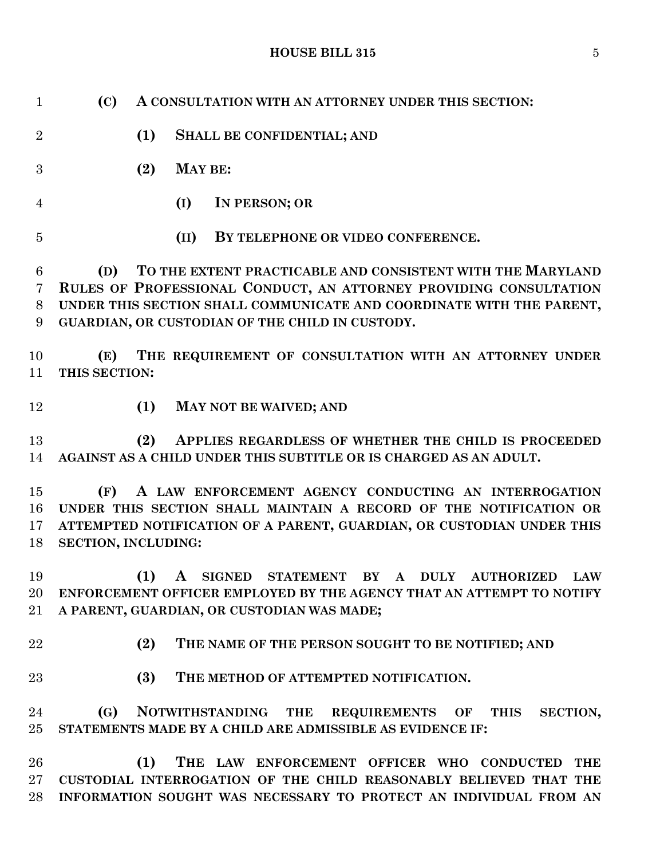# **HOUSE BILL 315** 5

| $\mathbf{1}$         | (C)                               | A CONSULTATION WITH AN ATTORNEY UNDER THIS SECTION:                                                                                                                                                                                                        |
|----------------------|-----------------------------------|------------------------------------------------------------------------------------------------------------------------------------------------------------------------------------------------------------------------------------------------------------|
| $\overline{2}$       |                                   | (1)<br><b>SHALL BE CONFIDENTIAL; AND</b>                                                                                                                                                                                                                   |
| 3                    |                                   | (2)<br><b>MAY BE:</b>                                                                                                                                                                                                                                      |
| $\overline{4}$       |                                   | IN PERSON; OR<br>(I)                                                                                                                                                                                                                                       |
| $\overline{5}$       |                                   | (II)<br>BY TELEPHONE OR VIDEO CONFERENCE.                                                                                                                                                                                                                  |
| 6<br>7<br>8<br>9     | (D)                               | TO THE EXTENT PRACTICABLE AND CONSISTENT WITH THE MARYLAND<br>RULES OF PROFESSIONAL CONDUCT, AN ATTORNEY PROVIDING CONSULTATION<br>UNDER THIS SECTION SHALL COMMUNICATE AND COORDINATE WITH THE PARENT,<br>GUARDIAN, OR CUSTODIAN OF THE CHILD IN CUSTODY. |
| 10<br>11             | (E)<br>THIS SECTION:              | THE REQUIREMENT OF CONSULTATION WITH AN ATTORNEY UNDER                                                                                                                                                                                                     |
| 12                   |                                   | (1)<br>MAY NOT BE WAIVED; AND                                                                                                                                                                                                                              |
| 13<br>14             |                                   | (2)<br>APPLIES REGARDLESS OF WHETHER THE CHILD IS PROCEEDED<br>AGAINST AS A CHILD UNDER THIS SUBTITLE OR IS CHARGED AS AN ADULT.                                                                                                                           |
| 15<br>16<br>17<br>18 | (F)<br><b>SECTION, INCLUDING:</b> | A LAW ENFORCEMENT AGENCY CONDUCTING AN INTERROGATION<br>UNDER THIS SECTION SHALL MAINTAIN A RECORD OF THE NOTIFICATION OR<br>ATTEMPTED NOTIFICATION OF A PARENT, GUARDIAN, OR CUSTODIAN UNDER THIS                                                         |
| 19<br>20<br>21       |                                   | (1)<br>STATEMENT BY A DULY AUTHORIZED<br>$\mathbf{A}$<br><b>SIGNED</b><br><b>LAW</b><br>ENFORCEMENT OFFICER EMPLOYED BY THE AGENCY THAT AN ATTEMPT TO NOTIFY<br>A PARENT, GUARDIAN, OR CUSTODIAN WAS MADE;                                                 |
| 22                   |                                   | (2)<br>THE NAME OF THE PERSON SOUGHT TO BE NOTIFIED; AND                                                                                                                                                                                                   |
| 23                   |                                   | (3)<br>THE METHOD OF ATTEMPTED NOTIFICATION.                                                                                                                                                                                                               |
| 24<br>25             | (G)                               | NOTWITHSTANDING THE REQUIREMENTS OF<br>SECTION,<br>THIS<br>STATEMENTS MADE BY A CHILD ARE ADMISSIBLE AS EVIDENCE IF:                                                                                                                                       |
| 26<br>$27\,$<br>28   |                                   | (1)<br>THE LAW ENFORCEMENT OFFICER WHO CONDUCTED<br><b>THE</b><br>CUSTODIAL INTERROGATION OF THE CHILD REASONABLY BELIEVED THAT THE<br>INFORMATION SOUGHT WAS NECESSARY TO PROTECT AN INDIVIDUAL FROM AN                                                   |